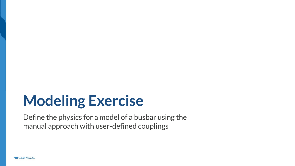# **Modeling Exercise**

Define the physics for a model of a busbar using the manual approach with user-defined couplings

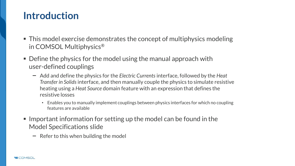#### **Introduction**

- $\blacksquare$  This model exercise demonstrates the concept of multiphysics modeling in COMSOL Multiphysics®
- $\blacksquare$  Define the physics for the model using the manual approach with user-defined couplings
	- Add and define the physics for the *Electric Currents* interface, followed by the *Heat Transfer in Solids* interface, and then manually couple the physics to simulate resistive heating using a *Heat Source* domain feature with an expression that defines the resistive losses
		- Enables you to manually implement couplings between physics interfaces for which no coupling features are available
- $\blacksquare$  Important information for setting up the model can be found in the Model Specifications slide
	- $\overline{\phantom{a}}$  Refer to this when building the model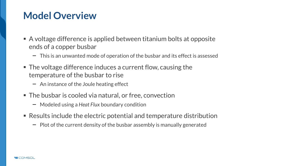### **Model Overview**

- $\blacksquare$  A voltage difference is applied between titanium bolts at opposite ends of a copper busbar
	- $-$  This is an unwanted mode of operation of the busbar and its effect is assessed
- The voltage difference induces a current flow, causing the temperature of the busbar to rise
	- $-$  An instance of the Joule heating effect
- The busbar is cooled via natural, or free, convection
	- Modeled using a *Heat Flux* boundary condition
- Results include the electric potential and temperature distribution
	- $-$  Plot of the current density of the busbar assembly is manually generated

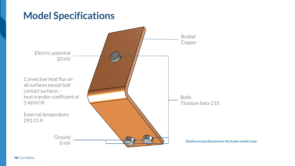#### **Model Specifications**



**VICOMSOL**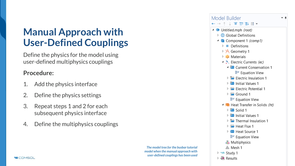# **Manual Approach with User-Defined Couplings**

Define the physics for the model using user-defined multiphysics couplings

#### **Procedure:**

- 1. Add the physics interface
- 2. Define the physics settings
- 3. Repeat steps 1 and 2 for each subsequent physics interface
- 4. Define the multiphysics couplings

*The model tree for the busbar tutorial model when the manual approach with user-defined couplings has been used*



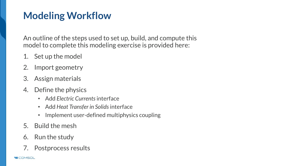# **Modeling Workflow**

An outline of the steps used to set up, build, and compute this model to complete this modeling exercise is provided here:

- 1. Set up the model
- 2. Import geometry
- 3. Assign materials
- 4. Define the physics
	- Add *Electric Currents* interface
	- Add *Heat Transfer in Solids* interface
	- Implement user-defined multiphysics coupling
- 5. Build the mesh
- 6. Run the study
- 7. Postprocess results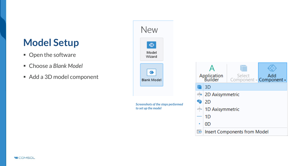### **Model Setup**

- Open the software
- Choose a *Blank Model*
- Add a 3D model component

| New                                                       |           |                        |                                          |  |  |  |
|-----------------------------------------------------------|-----------|------------------------|------------------------------------------|--|--|--|
| ⊗<br>Model<br>Wizard                                      |           |                        |                                          |  |  |  |
| 3<br><b>Blank Model</b>                                   |           | Application<br>Builder | Add<br>Select<br>Component - Component - |  |  |  |
|                                                           |           | 3D                     |                                          |  |  |  |
|                                                           | æ         |                        | 2D Axisymmetric                          |  |  |  |
| Screenshots of the steps performed<br>to set up the model | $\bullet$ | 2D                     |                                          |  |  |  |
|                                                           | p         |                        | 1D Axisymmetric                          |  |  |  |
|                                                           |           | 1D                     |                                          |  |  |  |
|                                                           | ٠         | 0D                     |                                          |  |  |  |
|                                                           | 呍         |                        | Insert Components from Model             |  |  |  |

**VICOMSOL**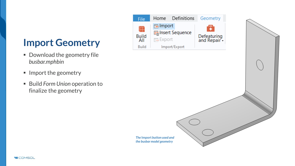# **Import Geometry**

- Download the geometry file *busbar.mphbin*
- **Import the geometry**
- Build *Form Union* operation to finalize the geometry



*The* **Import** *button used and the busbar model geometry*

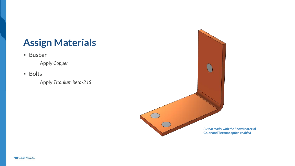# **Assign Materials**

- Busbar
	- Apply *Copper*
- Bolts
	- Apply *Titanium beta-21S*



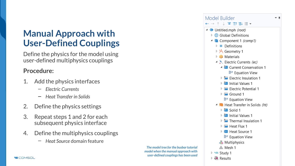#### **Manual Approach with User-Defined Couplings**

Define the physics for the model using user-defined multiphysics couplings

#### **Procedure:**

- 1. Add the physics interfaces
	- *Electric Currents*  $\equiv$
	- *Heat Transfer in Solids*  $\overline{\phantom{0}}$
- 2. Define the physics settings
- 3. Repeat steps 1 and 2 for each subsequent physics interface
- 4. Define the multiphysics couplings
	- *Heat Source* domain feature  $\overline{\phantom{a}}$

|                                                                             | Model Builder                                              |  |
|-----------------------------------------------------------------------------|------------------------------------------------------------|--|
|                                                                             | ╶ <sup></sup> ╴↑ ↓ ☞ ≣↑ ≣↓ ≣▍▼                             |  |
|                                                                             | ▲ ◆ Untitled.mph (root)                                    |  |
|                                                                             | <b>6</b> Global Definitions<br>▷                           |  |
|                                                                             | $\triangleq$ Component 1 (comp1)                           |  |
|                                                                             | $\equiv$ Definitions<br>Þ                                  |  |
|                                                                             | ▷ A Geometry 1                                             |  |
|                                                                             | ▷ :: Materials                                             |  |
|                                                                             | Electric Currents (ec)                                     |  |
|                                                                             | ▲ P Current Conservation 1                                 |  |
|                                                                             | <sup>쁥</sup> Equation View                                 |  |
|                                                                             | $\triangleright$ $\blacksquare$ Electric Insulation 1      |  |
|                                                                             | $\triangleright$ <b>P</b> Initial Values 1                 |  |
|                                                                             | Electric Potential 1                                       |  |
|                                                                             | $\triangleright$ $\blacksquare$ Ground 1                   |  |
|                                                                             | <sup>쁥</sup> Equation View                                 |  |
|                                                                             | ▲ I Heat Transfer in Solids (ht)                           |  |
|                                                                             | $\triangleright$ <b>in</b> Solid 1                         |  |
|                                                                             | $\triangleright$ $\stackrel{\text{p}}{=}$ Initial Values 1 |  |
|                                                                             | $\triangleright$ $\blacksquare$ Thermal Insulation 1       |  |
|                                                                             | $\triangleright$ $\blacksquare$ Heat Flux 1                |  |
|                                                                             | $\triangleright$ $\blacksquare$ Heat Source 1              |  |
|                                                                             | <sup>强:</sup> Equation View                                |  |
|                                                                             | <b>卷</b> Multiphysics                                      |  |
| The model tree for the busbar tutorial                                      | 盒 Mesh 1                                                   |  |
| model when the manual approach with<br>user-defined couplings has been used | <sup>⊳</sup> ^® Study 1                                    |  |
|                                                                             | <b>■</b> Results                                           |  |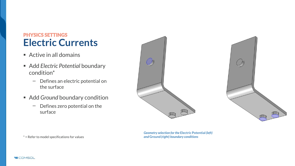#### PHYSICS SETTINGS **Electric Currents**

- $\blacksquare$  Active in all domains
- Add *Electric Potential* boundary condition\*
	- Defines an electric potential on the surface
- Add *Ground* boundary condition
	- $-$  Defines zero potential on the surface





*Geometry selection for the* **Electric Potential** *(left) and* **Ground** *(right) boundary conditions* 

\* = Refer to model specifications for values

**VICOMSOL**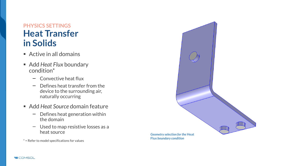#### **PHYSICS SETTINGS Heat Transfer in Solids**

- $\blacksquare$  Active in all domains
- Add *Heat Flux* boundary condition\*
	- Convective heat flux
	- Defines heat transfer from the  $\overline{\phantom{m}}$ device to the surrounding air, naturally occurring
- Add *Heat Source* domain feature
	- Defines heat generation within  $\overline{\phantom{0}}$ the domain
	- Used to map resistive losses as a  $\qquad \qquad$ heat source

\* = Refer to model specifications for values



**Flux** *boundary condition*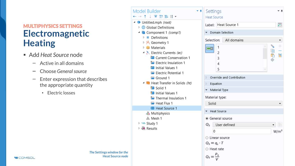#### MULTIPHYSICS SETTINGS **Electromagnetic Heating**

- Add *Heat Source* node
	- Active in all domains  $\overline{\phantom{m}}$
	- Choose *General source*
	- Enter expression that describes  $\overline{\phantom{0}}$ the appropriate quantity

*The* **Settings** *window for the*  **Heat Source** *node*

• Electric losses

| Model Builder<br>↑↓दााः ।                                                                          | Settings<br><b>Heat Source</b>                |                         |  |  |  |  |
|----------------------------------------------------------------------------------------------------|-----------------------------------------------|-------------------------|--|--|--|--|
| ▲ ◆ Untitled.mph (root)<br>$\triangleright$ $\bigoplus$ Global Definitions                         | Label: Heat Source 1                          | 肩                       |  |  |  |  |
| ▲ Component 1 (comp1)                                                                              | Domain Selection                              |                         |  |  |  |  |
| $\triangleright$ $\equiv$ Definitions<br>▷ A Geometry 1                                            | All domains<br>Selection:                     |                         |  |  |  |  |
| D :: Materials                                                                                     | q.<br>1<br>咱                                  | $\hspace{0.1mm} +$<br>- |  |  |  |  |
| Electric Currents (ec)<br><b>P</b> Current Conservation 1                                          | 2<br>ħ<br>3                                   | $\overline{\bullet}$    |  |  |  |  |
| <b>Electric Insulation 1</b>                                                                       | ٠ê<br>4                                       |                         |  |  |  |  |
| <b>Post</b> Initial Values 1                                                                       | 5                                             |                         |  |  |  |  |
| Electric Potential 1                                                                               | Override and Contribution<br>$\triangleright$ |                         |  |  |  |  |
| Ground 1<br>▲ I Heat Transfer in Solids (ht)<br>$\frac{p}{2}$ Solid 1<br><b>B</b> Initial Values 1 | Equation<br>$\triangleright$                  |                         |  |  |  |  |
|                                                                                                    | Material Type                                 |                         |  |  |  |  |
|                                                                                                    |                                               |                         |  |  |  |  |
| Thermal Insulation 1                                                                               | Material type:                                |                         |  |  |  |  |
| Heat Flux 1                                                                                        | Solid                                         |                         |  |  |  |  |
| Heat Source 1<br><b>&amp;Multiphysics</b>                                                          | <b>Heat Source</b>                            |                         |  |  |  |  |
| <sup>△</sup> Mesh 1                                                                                | ● General source                              |                         |  |  |  |  |
| <sup>⊳</sup> ^® Study 1                                                                            | User defined<br>$Q_0$                         |                         |  |  |  |  |
| <b>■</b> Results                                                                                   | 0                                             | $W/m^3$                 |  |  |  |  |
|                                                                                                    | ○ Linear source                               |                         |  |  |  |  |
|                                                                                                    | $Q_0 = q_s \cdot T$                           |                         |  |  |  |  |
|                                                                                                    | $\bigcirc$ Heat rate                          |                         |  |  |  |  |
|                                                                                                    | $Q_0 = \frac{P_0}{V}$                         |                         |  |  |  |  |
|                                                                                                    |                                               |                         |  |  |  |  |

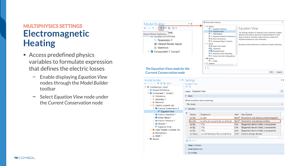#### MULTIPHYSICS SETTINGS **Electromagnetic Heating**

- Access predefined physics variables to formulate expression that defines the electric losses
	- Enable displaying *Equation View*   $\overline{\phantom{0}}$ nodes through the *Model Builder*  toolbar
	- Select *Equation View* node under the *Current Conservation* node



| Model Builder<br>す目目す                                                                                                                                                                                                                                                                                                                                                                                                                                                                                                                       |        | Settings<br><b>Equation View</b>                                             |                                                                                                                           |                                                          |                                                                                                                                                                                                                                                                       | $\mathbf{v}$ .           |
|---------------------------------------------------------------------------------------------------------------------------------------------------------------------------------------------------------------------------------------------------------------------------------------------------------------------------------------------------------------------------------------------------------------------------------------------------------------------------------------------------------------------------------------------|--------|------------------------------------------------------------------------------|---------------------------------------------------------------------------------------------------------------------------|----------------------------------------------------------|-----------------------------------------------------------------------------------------------------------------------------------------------------------------------------------------------------------------------------------------------------------------------|--------------------------|
| ▲ ◆ Untitled.mph (root)<br>$\triangleright$ $\oplus$ Global Definitions<br>Component 1 (comp1)<br>$\equiv$ Definitions<br>b.<br>▷ A Geometry 1<br><b>E:</b> Materials<br>Electric Currents (ec)<br>▲ <sup>2</sup> Current Conservation 1<br>art Equation View<br>$\triangleright$ $\blacksquare$ Electric Insulation 1<br><b>D</b> Initial Values 1<br><b>Electric Potential 1</b><br>$\triangleright$ $\blacksquare$ Ground 1<br>₩ Equation View<br>▶ I Heat Transfer in Solids (ht)<br>Multiphysics<br><sup>▲</sup> Mesh 1<br>▷ ■ Results |        | eь<br>Label: Equation View<br>$\bullet$ Study                                |                                                                                                                           |                                                          |                                                                                                                                                                                                                                                                       |                          |
|                                                                                                                                                                                                                                                                                                                                                                                                                                                                                                                                             |        | Show equation view assuming:                                                 |                                                                                                                           |                                                          |                                                                                                                                                                                                                                                                       |                          |
|                                                                                                                                                                                                                                                                                                                                                                                                                                                                                                                                             |        | No study                                                                     |                                                                                                                           |                                                          |                                                                                                                                                                                                                                                                       | $\overline{\phantom{a}}$ |
|                                                                                                                                                                                                                                                                                                                                                                                                                                                                                                                                             |        | variables                                                                    |                                                                                                                           |                                                          |                                                                                                                                                                                                                                                                       |                          |
|                                                                                                                                                                                                                                                                                                                                                                                                                                                                                                                                             | ▸<br>g | Name<br>ec.Oh<br>ec.Orh<br>ec.tEz<br>ec.tEy<br>ec.tEx<br>ec.rhoas<br>$D = 1$ | Expression<br>ec.Orh<br>ec.Jx*ec.Ex+ec.Jv*ec.Ev+ec.Jz*ec.Ez<br>$-VTz$<br>-VTy<br>$-VTx$<br>-ec.dnx*down(ec.Dx)-ec.dny*dow | Unit<br>$W/m^3$<br>V/m<br>V/m<br>V/m<br>C/m <sup>2</sup> | Description<br>W/m <sup>3</sup> Volumetric loss density, electromagnetic<br>Volumetric loss density, electric<br>Tangential electric field, z component<br>Tangential electric field, y component<br>Tangential electric field, x component<br>Surface charge density |                          |
|                                                                                                                                                                                                                                                                                                                                                                                                                                                                                                                                             |        | <b>Shape Functions</b>                                                       |                                                                                                                           |                                                          |                                                                                                                                                                                                                                                                       |                          |
|                                                                                                                                                                                                                                                                                                                                                                                                                                                                                                                                             |        | <b>Weak Expressions</b><br>Constraints                                       |                                                                                                                           |                                                          |                                                                                                                                                                                                                                                                       |                          |

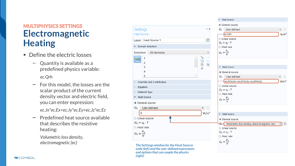#### MULTIPHYSICS SETTINGS **Electromagnetic Heating**

- Define the electric losses
	- Quantity is available as a predefined physics variable: *ec.Qrh*
	- $-$  For this model, the losses are the scalar product of the current density vector and electric field, you can enter expression:

*ec.Jx\*ec.Ex+ec.Jy\*ec.Ey+ec.Jz\*ec.Ez*

Predefined heat source available  $\qquad \qquad$ that describes the resistive heating:

*Volumetric loss density, electromagnetic (ec)*



+ Heat Source

*node (left) and the user-defined expressions and options that can couple the physics (right)*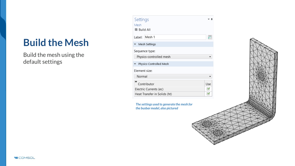## **Build the Mesh**

Build the mesh using the default settings



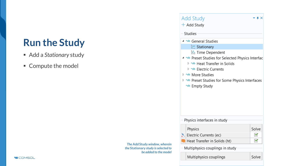### **Run the Study**

- Add a *Stationary* study
- Compute the model

| The Add Study window, wherein       |
|-------------------------------------|
| the Stationary study is selected to |
| be added to the model               |

| Add Study<br>$+$ Add Study                                                   | $\blacksquare$ |  |  |  |
|------------------------------------------------------------------------------|----------------|--|--|--|
| Studies                                                                      |                |  |  |  |
| 4 % General Studies                                                          |                |  |  |  |
| $\mathbb E$ Stationary                                                       |                |  |  |  |
| ∐ Time Dependent                                                             |                |  |  |  |
| ob Preset Studies for Selected Physics Interfact                             |                |  |  |  |
| $>$ ^⊗ Heat Transfer in Solids                                               |                |  |  |  |
| े ^® Electric Currents                                                       |                |  |  |  |
| <sup>⊳</sup> থ^ More Studies                                                 |                |  |  |  |
| ☆ ^® Preset Studies for Some Physics Interfaces<br><sup>∿®</sup> Empty Study |                |  |  |  |
|                                                                              |                |  |  |  |
| Physics interfaces in study                                                  |                |  |  |  |
| Physics                                                                      | Solve          |  |  |  |
| Electric Currents (ec)                                                       | ✔              |  |  |  |
| ✔<br>Heat Transfer in Solids (ht)                                            |                |  |  |  |
| Multiphysics couplings in study                                              |                |  |  |  |
| Multiphysics couplings                                                       | Solve          |  |  |  |